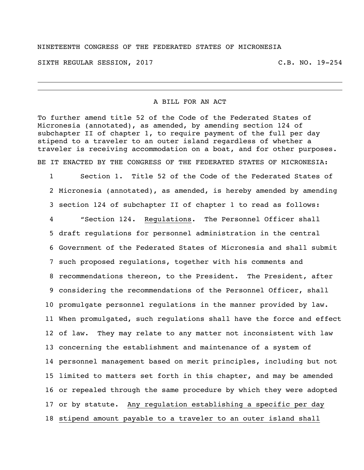## NINETEENTH CONGRESS OF THE FEDERATED STATES OF MICRONESIA

SIXTH REGULAR SESSION, 2017 THE REGULAR SESSION, 2017

## A BILL FOR AN ACT

To further amend title 52 of the Code of the Federated States of Micronesia (annotated), as amended, by amending section 124 of subchapter II of chapter 1, to require payment of the full per day stipend to a traveler to an outer island regardless of whether a traveler is receiving accommodation on a boat, and for other purposes. BE IT ENACTED BY THE CONGRESS OF THE FEDERATED STATES OF MICRONESIA:

 Section 1. Title 52 of the Code of the Federated States of Micronesia (annotated), as amended, is hereby amended by amending section 124 of subchapter II of chapter 1 to read as follows: "Section 124. Regulations. The Personnel Officer shall draft regulations for personnel administration in the central Government of the Federated States of Micronesia and shall submit such proposed regulations, together with his comments and recommendations thereon, to the President. The President, after considering the recommendations of the Personnel Officer, shall promulgate personnel regulations in the manner provided by law. When promulgated, such regulations shall have the force and effect of law. They may relate to any matter not inconsistent with law concerning the establishment and maintenance of a system of personnel management based on merit principles, including but not limited to matters set forth in this chapter, and may be amended or repealed through the same procedure by which they were adopted or by statute. Any regulation establishing a specific per day stipend amount payable to a traveler to an outer island shall